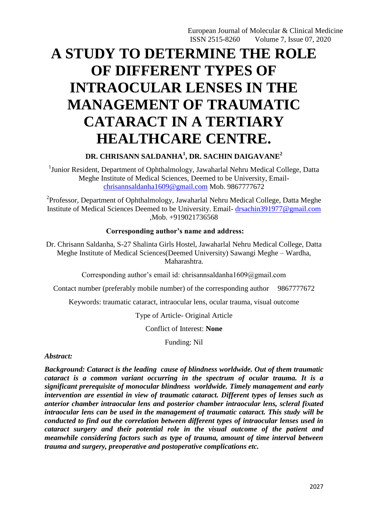# **A STUDY TO DETERMINE THE ROLE OF DIFFERENT TYPES OF INTRAOCULAR LENSES IN THE MANAGEMENT OF TRAUMATIC CATARACT IN A TERTIARY HEALTHCARE CENTRE.**

# **DR. CHRISANN SALDANHA<sup>1</sup> , DR. SACHIN DAIGAVANE<sup>2</sup>**

<sup>1</sup>Junior Resident, Department of Ophthalmology, Jawaharlal Nehru Medical College, Datta Meghe Institute of Medical Sciences, Deemed to be University, Email[chrisannsaldanha1609@gmail.com](mailto:chrisannsaldanha1609@gmail.com) Mob. 9867777672

 $2$ Professor, Department of Ophthalmology, Jawaharlal Nehru Medical College, Datta Meghe Institute of Medical Sciences Deemed to be University. Email- [drsachin391977@gmail.com](mailto:drsachin391977@gmail.com) ,Mob. +919021736568

#### **Corresponding author's name and address:**

Dr. Chrisann Saldanha, S-27 Shalinta Girls Hostel, Jawaharlal Nehru Medical College, Datta Meghe Institute of Medical Sciences(Deemed University) Sawangi Meghe – Wardha, Maharashtra.

Corresponding author's email id: chrisannsaldanha1609@gmail.com

Contact number (preferably mobile number) of the corresponding author 9867777672

Keywords: traumatic cataract, intraocular lens, ocular trauma, visual outcome

Type of Article- Original Article

Conflict of Interest: **None**

Funding: Nil

*Abstract:* 

*Background: Cataract is the leading cause of blindness worldwide. Out of them traumatic cataract is a common variant occurring in the spectrum of ocular trauma. It is a significant prerequisite of monocular blindness worldwide. Timely management and early intervention are essential in view of traumatic cataract. Different types of lenses such as anterior chamber intraocular lens and posterior chamber intraocular lens, scleral fixated intraocular lens can be used in the management of traumatic cataract. This study will be conducted to find out the correlation between different types of intraocular lenses used in cataract surgery and their potential role in the visual outcome of the patient and meanwhile considering factors such as type of trauma, amount of time interval between trauma and surgery, preoperative and postoperative complications etc.*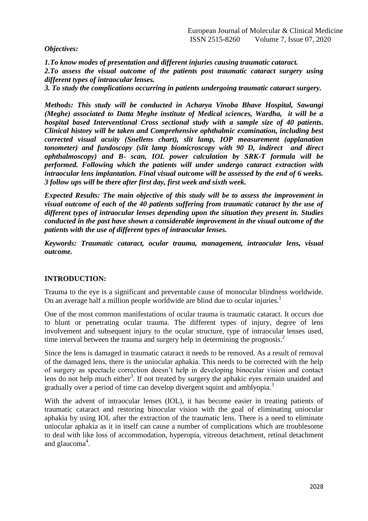*Objectives:*

*1.To know modes of presentation and different injuries causing traumatic cataract. 2.To assess the visual outcome of the patients post traumatic cataract surgery using different types of intraocular lenses.*

*3. To study the complications occurring in patients undergoing traumatic cataract surgery.*

*Methods: This study will be conducted in Acharya Vinoba Bhave Hospital, Sawangi (Meghe) associated to Datta Meghe institute of Medical sciences, Wardha, it will be a hospital based Interventional Cross sectional study with a sample size of 40 patients. Clinical history will be taken and Comprehensive ophthalmic examination, including best corrected visual acuity (Snellens chart), slit lamp, IOP measurement (applanation tonometer) and fundoscopy (slit lamp biomicroscopy with 90 D, indirect and direct ophthalmoscopy) and B- scan, IOL power calculation by SRK-T formula will be performed. Following which the patients will under undergo cataract extraction with intraocular lens implantation. Final visual outcome will be assessed by the end of 6 weeks. 3 follow ups will be there after first day, first week and sixth week.* 

*Expected Results: The main objective of this study will be to assess the improvement in visual outcome of each of the 40 patients suffering from traumatic cataract by the use of different types of intraocular lenses depending upon the situation they present in. Studies conducted in the past have shown a considerable improvement in the visual outcome of the patients with the use of different types of intraocular lenses.*

*Keywords: Traumatic cataract, ocular trauma, management, intraocular lens, visual outcome.*

# **INTRODUCTION:**

Trauma to the eye is a significant and preventable cause of monocular blindness worldwide. On an average half a million people worldwide are blind due to ocular injuries.<sup>1</sup>

One of the most common manifestations of ocular trauma is traumatic cataract. It occurs due to blunt or penetrating ocular trauma. The different types of injury, degree of lens involvement and subsequent injury to the ocular structure, type of intraocular lenses used, time interval between the trauma and surgery help in determining the prognosis.<sup>2</sup>

Since the lens is damaged in traumatic cataract it needs to be removed. As a result of removal of the damaged lens, there is the uniocular aphakia. This needs to be corrected with the help of surgery as spectacle correction doesn"t help in developing binocular vision and contact lens do not help much either<sup>3</sup>. If not treated by surgery the aphakic eyes remain unaided and gradually over a period of time can develop divergent squint and amblyopia.<sup>3</sup>

With the advent of intraocular lenses (IOL), it has become easier in treating patients of traumatic cataract and restoring binocular vision with the goal of eliminating uniocular aphakia by using IOL after the extraction of the traumatic lens. There is a need to eliminate uniocular aphakia as it in itself can cause a number of complications which are troublesome to deal with like loss of accommodation, hyperopia, vitreous detachment, retinal detachment and glaucoma<sup>4</sup>.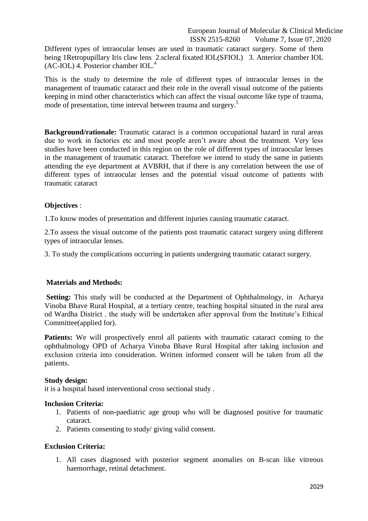Different types of intraocular lenses are used in traumatic cataract surgery. Some of them being 1Retropupillary Iris claw lens 2.scleral fixated IOL(SFIOL) 3. Anterior chamber IOL  $(AC-IOL)$  4. Posterior chamber  $IOL<sup>4</sup>$ 

This is the study to determine the role of different types of intraocular lenses in the management of traumatic cataract and their role in the overall visual outcome of the patients keeping in mind other characteristics which can affect the visual outcome like type of trauma, mode of presentation, time interval between trauma and surgery.<sup>5</sup>

**Background/rationale:** Traumatic cataract is a common occupational hazard in rural areas due to work in factories etc and most people aren"t aware about the treatment. Very less studies have been conducted in this region on the role of different types of intraocular lenses in the management of traumatic cataract. Therefore we intend to study the same in patients attending the eye department at AVBRH, that if there is any correlation between the use of different types of intraocular lenses and the potential visual outcome of patients with traumatic cataract

#### **Objectives** :

1.To know modes of presentation and different injuries causing traumatic cataract.

2.To assess the visual outcome of the patients post traumatic cataract surgery using different types of intraocular lenses.

3. To study the complications occurring in patients undergoing traumatic cataract surgery.

#### **Materials and Methods:**

**Setting:** This study will be conducted at the Department of Ophthalmology, in Acharya Vinoba Bhave Rural Hospital, at a tertiary centre, teaching hospital situated in the rural area od Wardha District . the study will be undertaken after approval from the Institute's Ethical Committee(applied for).

Patients: We will prospectively enrol all patients with traumatic cataract coming to the ophthalmology OPD of Acharya Vinoba Bhave Rural Hospital after taking inclusion and exclusion criteria into consideration. Written informed consent will be taken from all the patients.

#### **Study design:**

it is a hospital based interventional cross sectional study .

#### **Inclusion Criteria:**

- 1. Patients of non-paediatric age group who will be diagnosed positive for traumatic cataract.
- 2. Patients consenting to study/ giving valid consent.

#### **Exclusion Criteria:**

1. All cases diagnosed with posterior segment anomalies on B-scan like vitreous haemorrhage, retinal detachment.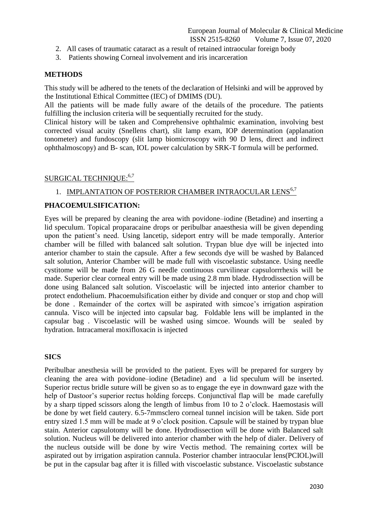- 2. All cases of traumatic cataract as a result of retained intraocular foreign body
- 3. Patients showing Corneal involvement and iris incarceration

### **METHODS**

This study will be adhered to the tenets of the declaration of Helsinki and will be approved by the Institutional Ethical Committee (IEC) of DMIMS (DU).

All the patients will be made fully aware of the details of the procedure. The patients fulfilling the inclusion criteria will be sequentially recruited for the study.

Clinical history will be taken and Comprehensive ophthalmic examination, involving best corrected visual acuity (Snellens chart), slit lamp exam, IOP determination (applanation tonometer) and fundoscopy (slit lamp biomicroscopy with 90 D lens, direct and indirect ophthalmoscopy) and B- scan, IOL power calculation by SRK-T formula will be performed.

# SURGICAL TECHNIQUE:<sup>6,7</sup>

# 1. IMPLANTATION OF POSTERIOR CHAMBER INTRAOCULAR LENS<sup>6,7</sup>

#### **PHACOEMULSIFICATION:**

Eyes will be prepared by cleaning the area with povidone–iodine (Betadine) and inserting a lid speculum. Topical proparacaine drops or peribulbar anaesthesia will be given depending upon the patient's need. Using lancetip, sideport entry will be made temporally. Anterior chamber will be filled with balanced salt solution. Trypan blue dye will be injected into anterior chamber to stain the capsule. After a few seconds dye will be washed by Balanced salt solution, Anterior Chamber will be made full with viscoelastic substance. Using needle cystitome will be made from 26 G needle continuous curvilinear capsulorrrhexis will be made. Superior clear corneal entry will be made using 2.8 mm blade. Hydrodissection will be done using Balanced salt solution. Viscoelastic will be injected into anterior chamber to protect endothelium. Phacoemulsification either by divide and conquer or stop and chop will be done. Remainder of the cortex will be aspirated with simcoe's irrigation aspiration cannula. Visco will be injected into capsular bag. Foldable lens will be implanted in the capsular bag . Viscoelastic will be washed using simcoe. Wounds will be sealed by hydration. Intracameral moxifloxacin is injected

#### **SICS**

Peribulbar anesthesia will be provided to the patient. Eyes will be prepared for surgery by cleaning the area with povidone–iodine (Betadine) and a lid speculum will be inserted. Superior rectus bridle suture will be given so as to engage the eye in downward gaze with the help of Dastoor's superior rectus holding forceps. Conjunctival flap will be made carefully by a sharp tipped scissors along the length of limbus from 10 to 2 o"clock. Haemostasis will be done by wet field cautery. 6.5-7mmsclero corneal tunnel incision will be taken. Side port entry sized 1.5 mm will be made at 9 o'clock position. Capsule will be stained by trypan blue stain. Anterior capsulotomy will be done. Hydrodissection will be done with Balanced salt solution. Nucleus will be delivered into anterior chamber with the help of dialer. Delivery of the nucleus outside will be done by wire Vectis method. The remaining cortex will be aspirated out by irrigation aspiration cannula. Posterior chamber intraocular lens(PCIOL)will be put in the capsular bag after it is filled with viscoelastic substance. Viscoelastic substance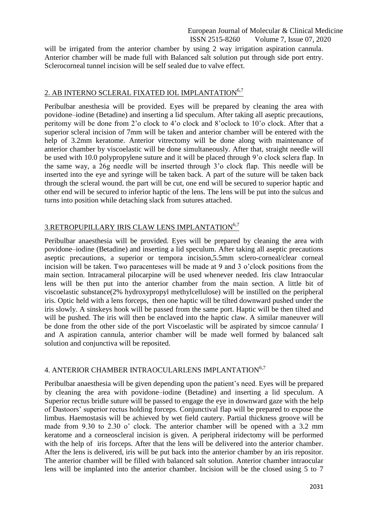will be irrigated from the anterior chamber by using 2 way irrigation aspiration cannula. Anterior chamber will be made full with Balanced salt solution put through side port entry. Sclerocorneal tunnel incision will be self sealed due to valve effect.

# 2. AB INTERNO SCLERAL FIXATED IOL IMPLANTATION<sup>6,7</sup>

Peribulbar anesthesia will be provided. Eyes will be prepared by cleaning the area with povidone–iodine (Betadine) and inserting a lid speculum. After taking all aseptic precautions, peritomy will be done from 2"o clock to 4"o clock and 8"oclock to 10"o clock. After that a superior scleral incision of 7mm will be taken and anterior chamber will be entered with the help of 3.2mm keratome. Anterior vitrectomy will be done along with maintenance of anterior chamber by viscoelastic will be done simultaneously. After that, straight needle will be used with 10.0 polypropylene suture and it will be placed through 9"o clock sclera flap. In the same way, a 26g needle will be inserted through 3"o clock flap. This needle will be inserted into the eye and syringe will be taken back. A part of the suture will be taken back through the scleral wound. the part will be cut, one end will be secured to superior haptic and other end will be secured to inferior haptic of the lens. The lens will be put into the sulcus and turns into position while detaching slack from sutures attached.

# 3.RETROPUPILLARY IRIS CLAW LENS IMPLANTATION<sup>6,7</sup>

Peribulbar anaesthesia will be provided. Eyes will be prepared by cleaning the area with povidone–iodine (Betadine) and inserting a lid speculum. After taking all aseptic precautions aseptic precautions, a superior or tempora incision,5.5mm sclero-corneal/clear corneal incision will be taken. Two paracenteses will be made at 9 and 3 o"clock positions from the main section. Intracameral pilocarpine will be used whenever needed. Iris claw Intraocular lens will be then put into the anterior chamber from the main section. A little bit of viscoelastic substance(2% hydroxypropyl methylcellulose) will be instilled on the peripheral iris. Optic held with a lens forceps, then one haptic will be tilted downward pushed under the iris slowly. A sinskeys hook will be passed from the same port. Haptic will be then tilted and will be pushed. The iris will then be enclaved into the haptic claw. A similar maneuver will be done from the other side of the port Viscoelastic will be aspirated by simcoe cannula/ I and A aspiration cannula, anterior chamber will be made well formed by balanced salt solution and conjunctiva will be reposited.

#### 4. ANTERIOR CHAMBER INTRAOCULARLENS IMPLANTATION<sup>6,7</sup>

Peribulbar anaesthesia will be given depending upon the patient's need. Eyes will be prepared by cleaning the area with povidone–iodine (Betadine) and inserting a lid speculum. A Superior rectus bridle suture will be passed to engage the eye in downward gaze with the help of Dastoors" superior rectus holding forceps. Conjunctival flap will be prepared to expose the limbus. Haemostasis will be achieved by wet field cautery. Partial thickness groove will be made from 9.30 to 2.30 o' clock. The anterior chamber will be opened with a 3.2 mm keratome and a corneoscleral incision is given. A peripheral iridectomy will be performed with the help of iris forceps. After that the lens will be delivered into the anterior chamber. After the lens is delivered, iris will be put back into the anterior chamber by an iris repositor. The anterior chamber will be filled with balanced salt solution. Anterior chamber intraocular lens will be implanted into the anterior chamber. Incision will be the closed using 5 to 7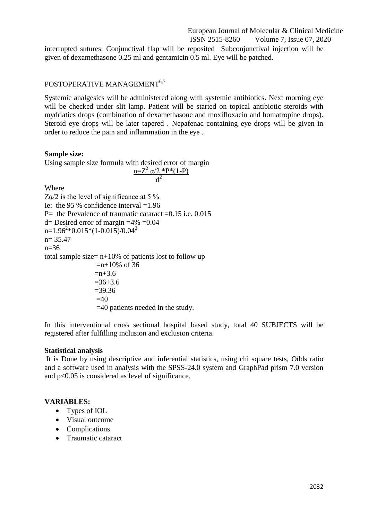interrupted sutures. Conjunctival flap will be reposited Subconjunctival injection will be given of dexamethasone 0.25 ml and gentamicin 0.5 ml. Eye will be patched.

# POSTOPERATIVE MANAGEMENT<sup>6,7</sup>

Systemic analgesics will be administered along with systemic antibiotics. Next morning eye will be checked under slit lamp. Patient will be started on topical antibiotic steroids with mydriatics drops (combination of dexamethasone and moxifloxacin and homatropine drops). Steroid eye drops will be later tapered . Nepafenac containing eye drops will be given in order to reduce the pain and inflammation in the eye .

#### **Sample size:**

Using sample size formula with desired error of margin

$$
\frac{\text{n=Z}^2 \alpha/2 * \text{P}^*(1-\text{P})}{\text{d}^2}
$$

Where

 $Z\alpha/2$  is the level of significance at 5 % Ie: the 95 % confidence interval  $=1.96$ P= the Prevalence of traumatic cataract  $=0.15$  i.e. 0.015  $d=$  Desired error of margin  $=4\% = 0.04$  $n=1.96^{2}*0.015*(1-0.015)/0.04^{2}$ n= 35.47  $n=36$ total sample size=  $n+10%$  of patients lost to follow up  $=$ n+10% of 36  $=n+3.6$  $=36+3.6$  $=39.36$  $=40$ =40 patients needed in the study.

In this interventional cross sectional hospital based study, total 40 SUBJECTS will be registered after fulfilling inclusion and exclusion criteria.

#### **Statistical analysis**

It is Done by using descriptive and inferential statistics, using chi square tests, Odds ratio and a software used in analysis with the SPSS-24.0 system and GraphPad prism 7.0 version and p<0.05 is considered as level of significance.

#### **VARIABLES:**

- Types of IOL
- Visual outcome
- Complications
- **•** Traumatic cataract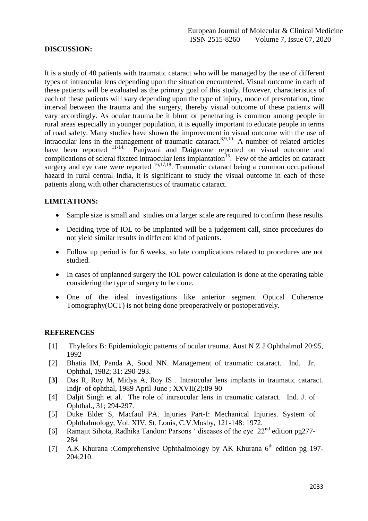#### **DISCUSSION:**

It is a study of 40 patients with traumatic cataract who will be managed by the use of different types of intraocular lens depending upon the situation encountered. Visual outcome in each of these patients will be evaluated as the primary goal of this study. However, characteristics of each of these patients will vary depending upon the type of injury, mode of presentation, time interval between the trauma and the surgery, thereby visual outcome of these patients will vary accordingly. As ocular trauma be it blunt or penetrating is common among people in rural areas especially in younger population, it is equally important to educate people in terms of road safety. Many studies have shown the improvement in visual outcome with the use of intraocular lens in the management of traumatic cataract.<sup>8,9,10</sup> A number of related articles have been reported <sup>11-14.</sup> Panjwani and Daigavane reported on visual outcome and complications of scleral fixated intraocular lens implantation<sup>15</sup>. Few of the articles on cataract surgery and eye care were reported  $16,17,18$ . Traumatic cataract being a common occupational hazard in rural central India, it is significant to study the visual outcome in each of these patients along with other characteristics of traumatic cataract.

#### **LIMITATIONS:**

- Sample size is small and studies on a larger scale are required to confirm these results
- Deciding type of IOL to be implanted will be a judgement call, since procedures do not yield similar results in different kind of patients.
- Follow up period is for 6 weeks, so late complications related to procedures are not studied.
- In cases of unplanned surgery the IOL power calculation is done at the operating table considering the type of surgery to be done.
- One of the ideal investigations like anterior segment Optical Coherence Tomography(OCT) is not being done preoperatively or postoperatively.

#### **REFERENCES**

- [1] Thylefors B: Epidemiologic patterns of ocular trauma. Aust N Z J Ophthalmol 20:95, 1992
- [2] Bhatia IM, Panda A, Sood NN. Management of traumatic cataract. Ind. Jr. Ophthal, 1982; 31: 290-293.
- **[3]** Das R, Roy M, Midya A, Roy IS . Intraocular lens implants in traumatic cataract. Indjr of ophthal, 1989 April-June ; XXVII(2):89-90
- [4] Daliit Singh et al. The role of intraocular lens in traumatic cataract. Ind. J. of Ophthal., 31; 294-297.
- [5] Duke Elder S, Macfaul PA. Injuries Part-I: Mechanical Injuries. System of Ophthalmology, Vol. XIV, St. Louis, C.V.Mosby, 121-148: 1972.
- [6] Ramajit Sihota, Radhika Tandon: Parsons ' diseases of the eye  $22<sup>nd</sup>$  edition pg277-284
- [7] A.K Khurana :Comprehensive Ophthalmology by AK Khurana 6<sup>th</sup> edition pg 197-204;210.